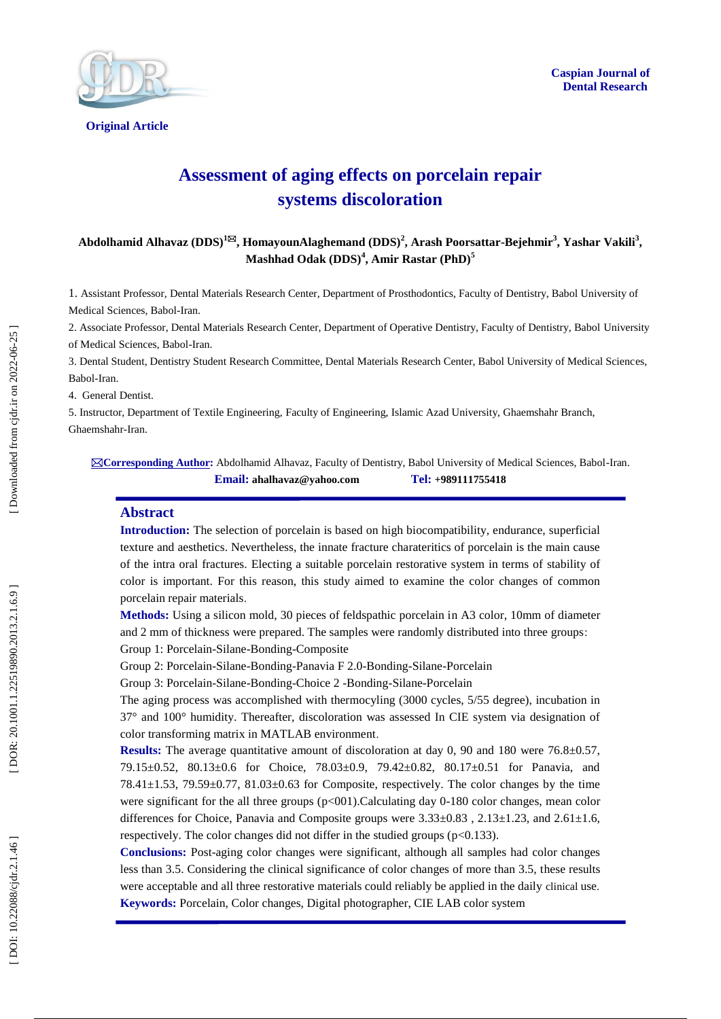



**Original Article** 

# **Assessment of aging effects on porcelain repair systems discoloration**

**Abdolhamid Alhavaz (DDS) 1 , HomayounAlaghemand (DDS) 2 , Arash Poorsattar - Bejeh mir 3 , Yashar Vakili 3 , Mashhad Odak (DDS) 4 , Amir Rastar (PhD) 5**

1. Assistant Professor, Dental Materials Research Center, Department of Prosthodontics, Faculty of Dentistry, Babol University of Medical Sciences, Babol -Iran.

2. Associate Professor, Dental Materials Research Center, Department of Operative Dentistry, Faculty of Dentistry, Babol University of Medical Sciences, Babol -Iran.

3. Dental Student, Dentistry Student Research Committee, Dental Materials Research Center, Babol University of Medical Sciences, Babol -Iran.

4. General Dentist .

5. Instructor, Department of Textile Engineering, Faculty of Engineering, Islamic Azad University, Ghaemshahr Branch, Ghaemshahr -Iran.

**Corresponding Author :** Abdolhamid Alhavaz, Faculty of Dentistry, Babol University of Medical Sciences, Babol -Iran. **Email: ahalhavaz@yahoo.com Tel: +989111755418**

#### **Abstract**

**Introduction :** The selection of porcelain is based on high biocompatibility, endurance, superficial texture and aesthetics. Nevertheless, the innate fracture charateritics of porcelain is the main cause of the intra oral fractures. Electing a suitable porcelain restorative system in terms of stability of color is important. For this reason, this study aimed to examine the color changes of common porcelain repair materials .

**Methods:** Using a silicon mold, 30 pieces of feldspathic porcelain in A3 color, 10mm of diameter and 2 mm of thickness were prepared. The samples were randomly distributed into three groups : Group 1: Porcelain -Silane -Bonding -Composite

Group 2: Porcelain-Silane-Bonding-Panavia F 2.0-Bonding-Silane-Porcelain

Group 3: Porcelain -Silane -Bonding -Choice 2 -Bonding -Silane -Porcelain

The aging process was accomplished with thermocyling (3000 cycles, 5/55 degree), incubation in 37° and 100° humidity. Thereafter, discoloration was assessed In CIE system via designation of color transforming matrix in MATLAB environment .

**Results:** The average quantitative amount of discoloration at day 0, 90 and 180 were 76.8±0.57, 79.15±0.52, 80.13±0.6 for Choice, 78.03±0.9, 79.42±0.82, 80.17±0.51 for Panavia, and 78.41±1.53, 79.59±0.77, 81.03±0.63 for Composite, respectively. The color changes by the time were significant for the all three groups (p<001). Calculating day 0-180 color changes, mean color differences for Choice, Panavia and Composite groups were  $3.33\pm0.83$ ,  $2.13\pm1.23$ , and  $2.61\pm1.6$ , respectively. The color changes did not differ in the studied groups ( p<0.133).

**Conclusions :** Post -aging color changes were significant, although all samples had color changes less than 3.5. Considering the clinical significance of color changes of more than 3.5, these results were acceptable and all three restorative materials could reliably be applied in the daily clinical use . **Keywords:** Porcelain, Color changes, Digital photographer, CIE LAB color system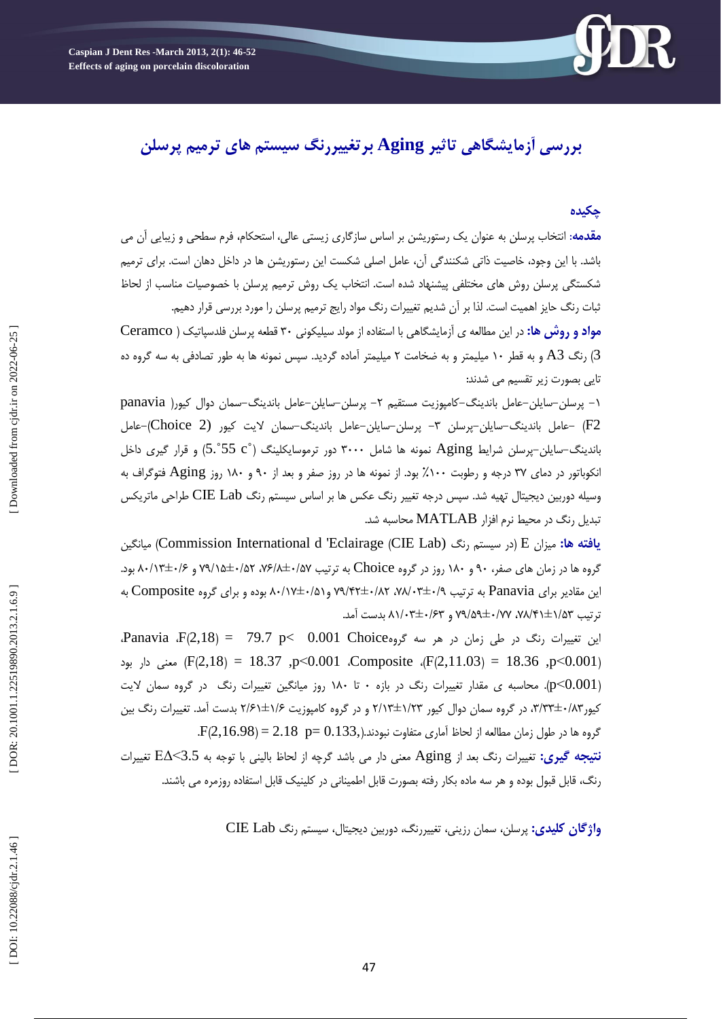

# **بررسی آزمایشگاهی تاثیر Aging برتغییررنگ سیستم های ترمیم پرسلن**

## **چکیده**

<mark>مقدمه</mark>: انتخاب پرسلن به عنوان یک رستوریشن بر اساس سازگاری زیستی عالی، استحکام، فرم سطحی و زیبایی ان می باشد. با این وجود، خاصیت ذاتی شکنندگی آن، عامل اصلی شکست این رستوریشن ها در داخل دهان است. برای ترمیم شکستگی پرسلن روش های مختلفی پیشنهاد شده است. انتخاب یک روش ترمیم پرسلن با خصوصیات مناسب از لحاظ ثبات رنگ حایز اهمیت است. لذا بر آن شدیم تغییرات رنگ مواد رایج ترمیم پرسلن را مورد بررسی قرار دهیم.

**مواد و روش ها:** در این مطالعه ی آزمایشگاهی با استفاده از مولد سیلیکونی ۳۰ قطعه پرسلن فلدسپاتیک ( Ceramco ا رنگ A3 و به قطر ۱۰ میلیمتر و به ضخامت ۲ میلیمتر آماده گردید. سپس نمونه ها به طور تصادفی به سه گروه ده  $\left( 3\right)$ تای*ی* بصورت زیر تقسیم م*ی* شدند:

۱– پرسلن–سایلن–عامل باندینگ–کامپوزیت مستقیم ۲– پرسلن–سایلن–عامل باندینگ–سمان دوال کیور( panavia F2 -عامل باندینگ-سایلن-پرسلن ٣- پرسلن-سایلن-عامل باندینگ-سمان لایت کیور (Choice 2)-عامل باندینگ-سایلن-پرسلن شرایط Aging نمونه ها شامل ۳۰۰۰ دور ترموسایکلینگ (°S.°55 c) و قرار گیری داخل انکوباتور در دمای ۳۷ درجه و رطوبت ۱۰۰٪ بود. از نمونه ها در روز صفر و بعد از ۹۰ و ۱۸۰ روز Aging فتوگراف به وسیله دوربین دیجیتال تهیه شد. سپس درجِه تغییر رنگ عکس ها بر اساس سیستم رنگ CIE Lab طراحی ماتریکس تبدیل رنگ در محیط نرم افزار MATLAB محاسبه شد.

**یافته ها:** میزان E (در سیستم رنگ (Commission International d 'Eclairage (CIE Lab) هیانگین گروه ها در زمان های صفر، ۹۰ و ۱۸۰ روز در گروه Choice به ترتیب ۰/۵۷+۱/۵۲ ، ۷۹/۱۵±۰/۵۲ و ۸۰/۱۳±۰/۶ بود. این مقادیر برای Panavia به ترتیب ۹/۰+۳±۰/۸۲، ۲۸/۰۲±۰/۵۲ و ۸۰/۱۷±۰/۵۱ بوده و برای گروه Composite به نرتیب ۷۵/۴۱±۱/۵۲، ۷۷/۵۹±۰/۷۷ و ۸۱/۰۳±۰/۶۳ بدست آمد.

این تغییرات رنگ در طی زمان در هر سه گروهOO1 Choice و Panavia  $F(2,18) = 79.7$  p< 0.001 p<0.001 ،Composite ،(F(2,11.03) = 18.36 ,p<0.001 ،Composite ،(F(2,11.03) معنی دار بود p<0.001). محاسبه ی مقدار تغییرات رنگ در بازه ۰ تا ۱۸۰ روز میانگین تغییرات رنگ در گروه سمان لایت کیور۲۸'،۳۳±۳،۳۳، در گروه سمان دوال کیور ۲/۱۲±۲/۱۲ و در گروه کامپوزیت ۲/۶±۲/۶۱ بدست آمد. تغییرات رنگ بین .  $\rm{F}(2,16.98)\,{=}\,2.18\;$   $\rm{p}{=}\,0.133,$ گروه ها در طول زمان مطالعه از لحاظ آماری متفاوت نبودند. **نتیجه گیری:** تغییرات رنگ بعد از Aging معنی دار می باشد گرچه از لحاظ بالینی با توجه به 3.5>E∆ تغییرات

رنگ، قابل قبول بوده و هر سه ماده بکار رفته بصورت قابل اطمینانی در کلینیک قابل استفاده روزمره می باشند.

و**اژگان کلیدی:** پرسلن، سمان رزینی، تغییررنگ، دوربین دیجیتال، سیستم رنگ CIE Lab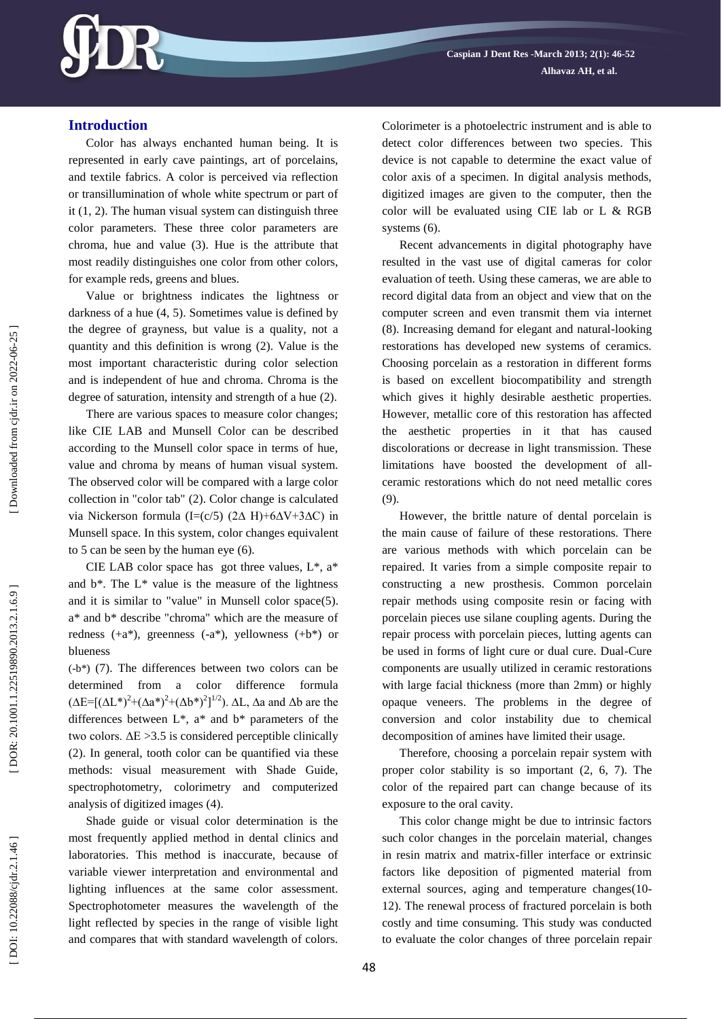

## **Introduction**

Color has always enchanted human being. It is represented in early cave paintings, art of porcelains, and textile fabrics. A color is perceived via reflection or transillumination of whole white spectrum or part of it (1, 2). The human visual system can distinguish three color parameters. These three color parameters are chroma, hue and value (3). Hue is the attribute that most readily distinguishes one color from other colors, for example reds, greens and blues.

Value or brightness indicates the lightness or darkness of a hue (4, 5). Sometimes value is defined by the degree of grayness, but value is a quality, not a quantity and this definition is wrong (2). Value is the most important characteristic during color selection and is independent of hue and chroma. Chroma is the degree of saturation, intensity and strength of a hue (2).

There are various spaces to measure color changes; like CIE LAB and Munsell Color can be described according to the Munsell color space in terms of hue, value and chroma by means of human visual system. The observed color will be compared with a large color collection in "color tab" (2). Color change is calculated via Nickerson formula (I=(c/5) (2∆ H)+6∆V+3∆C) in Munsell space. In this system, color changes equivalent to 5 can be seen by the human eye (6).

CIE LAB color space has got three values,  $L^*$ ,  $a^*$ and  $b^*$ . The  $L^*$  value is the measure of the lightness and it is similar to "value" in Munsell color space(5). a\* and b\* describe "chroma" which are the measure of redness (+a\*), greenness ( -a\*), yellowness (+b\*) or blueness

(-b\*) (7). The differences between two colors can be determined from a color difference formula  $(\Delta E = [(\Delta L^*)^2 + (\Delta a^*)^2 + (\Delta b^*)^2]^{1/2})$ .  $\Delta L$ ,  $\Delta a$  and  $\Delta b$  are the differences between  $L^*$ ,  $a^*$  and  $b^*$  parameters of the two colors.  $\Delta E > 3.5$  is considered perceptible clinically (2). In general, tooth color can be quantified via these methods: visual measurement with Shade Guide, spectrophotometry, colorimetry and computerized analysis of digitized images (4).

Shade guide or visual color determination is the most frequently applied method in dental clinics and laboratories. This method is inaccurate, because of variable viewer interpretation and environmental and lighting influences at the same color assessment. Spectrophotometer measures the wavelength of the light reflected by species in the range of visible light and compares that with standard wavelength of colors. Colorimeter is a photoelectric instrument and is able to detect color differences between two species. This device is not capable to determine the exact value of color axis of a specimen. In digital analysis methods, digitized images are given to the computer, then the color will be evaluated using CIE lab or L & RGB systems (6).

Recent advancements in digital photography have resulted in the vast use of digital cameras for color evaluation of teeth. Using these cameras, we are able to record digital data from an object and view that on the computer screen and even transmit them via internet (8). Increasing demand for elegant and natural -looking restorations has developed new systems of ceramics. Choosing porcelain as a restoration in different forms is based on excellent biocompatibility and strength which gives it highly desirable aesthetic properties. However, metallic core of this restoration has affected the aesthetic properties in it that has caused discolorations or decrease in light transmission. These limitations have boosted the development of all ceramic restorations which do not need metallic cores (9).

However, the brittle nature of dental porcelain is the main cause of failure of these restorations. There are various methods with which porcelain can be repaired. It varies from a simple composite repair to constructing a new prosthesis. Common porcelain repair methods using composite resin or facing with porcelain pieces use silane coupling agents. During the repair process with porcelain pieces, lutting agents can be used in forms of light cure or dual cure. Dual -Cure components are usually utilized in ceramic restorations with large facial thickness (more than 2mm) or highly opaque veneers. The problems in the degree of conversion and color instability due to chemical decomposition of amines have limited their usage.

Therefore, choosing a porcelain repair system with proper color stability is so important (2, 6, 7). The color of the repaired part can change because of its exposure to the oral cavity.

This color change might be due to intrinsic factors such color changes in the porcelain material, changes in resin matrix and matrix -filler interface or extrinsic factors like deposition of pigmented material from external sources, aging and temperature changes(10-12). The renewal process of fractured porcelain is both costly and time consuming. This study was conducted to evaluate the color changes of three porcelain repair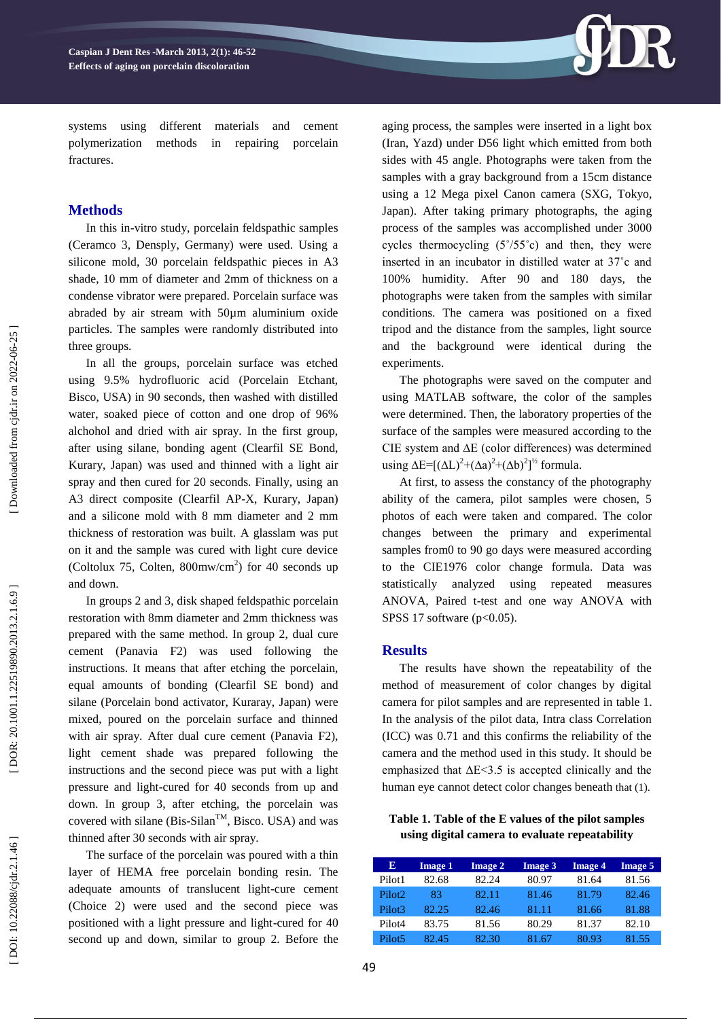

systems using different materials and cement polymerization methods in repairing porcelain fractures.

# **Method s**

In this in -vitro study, porcelain feldspathic samples (Ceramco 3, Densply, Germany) were used. Using a silicone mold, 30 porcelain feldspathic pieces in A3 shade, 10 mm of diameter and 2mm of thickness on a condense vibrator were prepared. Porcelain surface was abraded by air stream with 50µm aluminium oxide particles. The samples were randomly distributed into three groups.

In all the groups, porcelain surface was etched using 9.5% hydrofluoric acid (Porcelain Etchant, Bisco, USA) in 90 seconds, then washed with distilled water, soaked piece of cotton and one drop of 96% alchohol and dried with air spray. In the first group, after using silane, bonding agent (Clearfil SE Bond, Kurary, Japan) was used and thinned with a light air spray and then cured for 20 seconds. Finally, using an A3 direct composite (Clearfil AP -X, Kurary, Japan) and a silicone mold with 8 mm diameter and 2 mm thickness of restoration was built. A glasslam was put on it and the sample was cured with light cure device (Coltolux 75, Colten,  $800$ mw/cm<sup>2</sup>) for 40 seconds up and down.

In groups 2 and 3, disk shaped feldspathic porcelain restoration with 8mm diameter and 2mm thickness was prepared with the same method. In group 2, dual cure cement (Panavia F2) was used following the instructions. It means that after etching the porcelain, equal amounts of bonding (Clearfil SE bond) and silane (Porcelain bond activator, Kuraray, Japan) were mixed, poured on the porcelain surface and thinned with air spray. After dual cure cement (Panavia F2), light cement shade was prepared following the instructions and the second piece was put with a light pressure and light -cured for 40 seconds from up and down. In group 3, after etching, the porcelain was covered with silane (Bis-Silan<sup>TM</sup>, Bisco. USA) and was thinned after 30 seconds with air spray.

The surface of the porcelain was poured with a thin layer of HEMA free porcelain bonding resin. The adequate amounts of translucent light -cure cement (Choice 2) were used and the second piece was positioned with a light pressure and light -cured for 40 second up and down, similar to group 2. Before the

aging process, the samples were inserted in a light box (Iran, Yazd) under D56 light w hich emitted from both sides with 45 angle. Photographs were taken from the samples with a gray background from a 15cm distance using a 12 Mega pixel Canon camera (SXG, Tokyo, Japan). After taking primary photographs, the aging process of the samples was accomplished under 3000 cycles thermocycling  $(5^{\circ}/55^{\circ}c)$  and then, they were inserted in an incubator in distilled water at 37˚c and 100% humidity. After 90 and 180 days, the photographs were taken from the samples with similar conditions. The camera was positioned on a fixed tripod and the distance from the samples, light source and the background were identical during the experiments.

The photographs were saved on the computer and using MATLAB software, the color of the samples were determined. Then, the laboratory properties of the surface of the samples were measured according to the CIE system and ∆E (color differences) was determined using  $\Delta E = [(\Delta L)^2 + (\Delta a)^2 + (\Delta b)^2]^{1/2}$  formula.

At first, to assess the constancy of the photography ability of the camera, pilot samples were chosen, 5 photos of each were taken and compared. The color changes between the primary and experimental samples from0 to 90 go days were measured according to the CIE1976 color change formula. Data was statistically analyzed using repeated measures ANOVA, Paired t -test and one way ANOVA with SPSS 17 software ( p<0.05).

### **Results**

The results have shown the repeatability of the method of measurement of color changes by digital camera for pilot samples and are represented in table 1. In the analysis of the pilot data, Intra class Correlation (ICC) was 0.71 and this confirms the reliability of the camera and the method used in this study. It should be emphasized that  $\Delta E \leq 3.5$  is accepted clinically and the human eye cannot detect color changes beneath that (1).

**Table 1. Table of the E values of the pilot samples using digital camera to evaluate repeatability**

| Е                  | <b>Image 1</b> | <b>Image 2</b> | <b>Image 3</b> | <b>Image 4</b> | <b>Image 5</b> |
|--------------------|----------------|----------------|----------------|----------------|----------------|
| Pilot <sub>1</sub> | 82.68          | 82.24          | 80.97          | 81.64          | 81.56          |
| Pilot <sub>2</sub> | 83             | 82.11          | 81.46          | 81.79          | 82.46          |
| Pilot3             | 82.25          | 82.46          | 81.11          | 81.66          | 81.88          |
| Pilot <sub>4</sub> | 83.75          | 81.56          | 80.29          | 81.37          | 82.10          |
| Pilot <sub>5</sub> | 82.45          | 82.30          | 81.67          | 80.93          | 81.55          |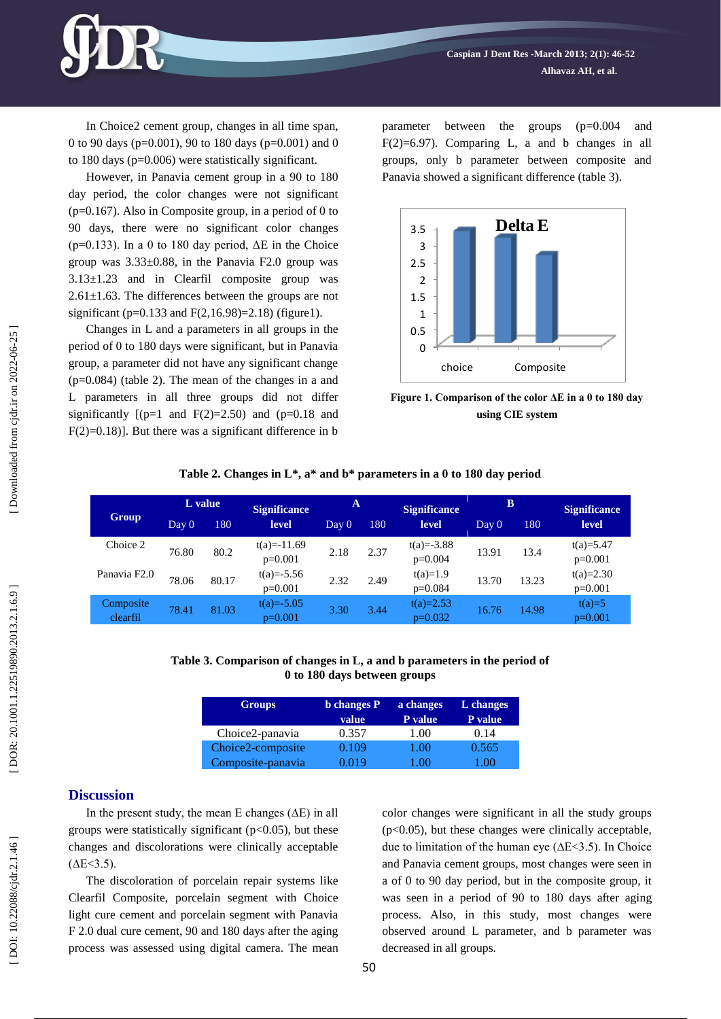In Choice2 cement group, changes in all time span, 0 to 90 days (p=0.001), 90 to 180 days ( p=0.001) and 0 to 180 days ( p =0.006) were statistically significant.

However, in Panavia cement group in a 90 to 180 day period, the color changes were not significant  $(p=0.167)$ . Also in Composite group, in a period of 0 to 90 days, there were no significant color changes ( $p=0.133$ ). In a 0 to 180 day period,  $\Delta E$  in the Choice group was  $3.33\pm0.88$ , in the Panavia F2.0 group was 3.13±1.23 and in Clearfil composite group was 2.61±1.63 . The differences between the groups are not significant ( p=0.133 and F(2,16.98)=2.18) ( figure1).

Changes in L and a parameters in all groups in the period of 0 to 180 days were significant, but in Panavia group, a parameter did not have any significant change (p=0.084) (table 2). The mean of the changes in a and L parameters in all three groups did not differ significantly  $[(p=1 \text{ and } F(2)=2.50) \text{ and } (p=0.18 \text{ and }$  $F(2)=0.18$ ]. But there was a significant difference in b

parameter between the groups (p=0.004 and  $F(2)=6.97$ ). Comparing L, a and b changes in all groups, only b parameter between composite and Panavia showed a significant difference ( table 3).



**Figure 1. Comparison of the color ΔE in a 0 to 180 day using CIE system**

|                          |       | L value | <b>Significance</b>       | A     |      | <b>Significance</b>         | B     |       | <b>Significance</b>      |
|--------------------------|-------|---------|---------------------------|-------|------|-----------------------------|-------|-------|--------------------------|
| Group                    | Day 0 | 180.    | level                     | Day 0 | 180  | level                       | Day 0 | 180   | level                    |
| Choice 2                 | 76.80 | 80.2    | $t(a)=11.69$<br>$p=0.001$ | 2.18  | 2.37 | $t(a) = -3.88$<br>$p=0.004$ | 13.91 | 13.4  | $t(a)=5.47$<br>$p=0.001$ |
| Panavia F <sub>2.0</sub> | 78.06 | 80.17   | $t(a)=-5.56$<br>$p=0.001$ | 2.32  | 2.49 | $t(a)=1.9$<br>$p=0.084$     | 13.70 | 13.23 | $t(a)=2.30$<br>$p=0.001$ |
| Composite<br>clearfil    | 78.41 | 81.03   | $t(a)=-5.05$<br>$p=0.001$ | 3.30  | 3.44 | $t(a)=2.53$<br>$p=0.032$    | 16.76 | 14.98 | $t(a)=5$<br>$p=0.001$    |

## **Table 2. Changes in L\*, a\* and b\* parameters in a 0 to 180 day period**

#### **Table 3 . Comparison of changes in L, a and b parameters in the period of 0 to 180 days between groups**

| <b>Groups</b>     | <b>b</b> changes P | a changes | L changes |  |
|-------------------|--------------------|-----------|-----------|--|
|                   | value <sup>1</sup> | P value   | P value   |  |
| Choice2-panavia   | 0.357              | 1.00      | 0.14      |  |
| Choice2-composite | 0.109              | 1.00      | 0.565     |  |
| Composite-panavia | 0.019              | 1 00      | LOO.      |  |

#### **Discussion**

In the present study, the mean E changes (∆E) in all groups were statistically significant  $(p<0.05)$ , but these changes and discolorations were clinically acceptable  $(AE < 3.5)$ .

The discoloration of porcelain repair systems like Clearfil Composite, porcelain segment with Choice light cure cement and porcelain segment with Panavia F 2.0 dual cure cement, 90 and 180 days after the aging process was assessed using digital camera. The mean color changes were significant in all the study groups  $(p<0.05)$ , but these changes were clinically acceptable, due to limitation of the human eye (∆E<3.5). In Choice and Panavia cement groups, most changes were seen in a of 0 to 90 day period, but in the composite group, it was seen in a period of 90 to 180 days after aging process. Also, in this study, most changes were observed around L parameter, and b parameter was decreased in all groups.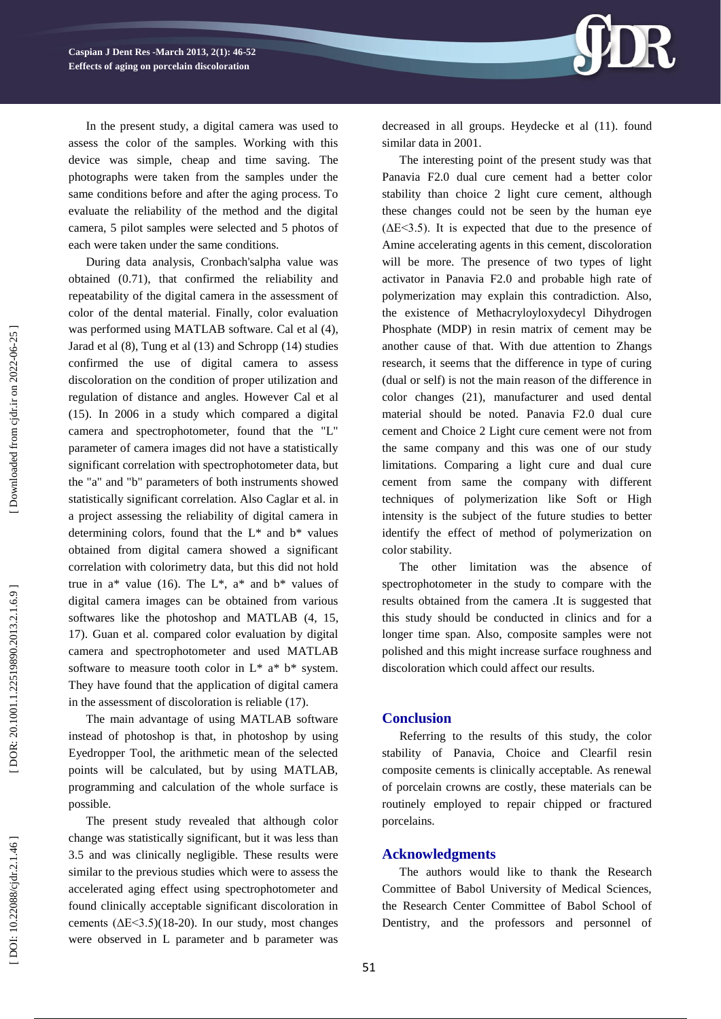

During data analysis, Cronbach'salpha value was obtained (0.71), that confirmed the reliability and repeatability of the digital camera in the assessment of color of the dental material. Finally, color evaluation was performed using MATLAB software. Cal et al ( 4), Jarad et al (8), Tung et al (13) and Schropp (14) studies confirmed the use of digital camera to assess discoloration on the condition of proper utilization and regulation of distance and angles. However Cal et al (15) . In 2006 in a study which compared a digital camera and spectrophotometer, found that the "L" parameter of camera images did not have a statistically significant correlation with spectrophotometer data, but the "a" and "b" parameters of both instruments showed statistically significant correlation. Also Caglar et al. in a project assessing the reliability of digital camera in determining colors, found that the  $L^*$  and  $b^*$  values obtained from digital camera showed a significant correlation with colorimetry data, but this did not hold true in  $a^*$  value (16). The  $L^*$ ,  $a^*$  and  $b^*$  values of digital camera images can be obtained from various softwares like the photoshop and MATLAB (4, 15, 17). Guan et al. compared color evaluation by digital camera and spectrophotometer and used MATLAB software to measure tooth color in  $L^*$  a\*  $b^*$  system. They have found that the application of digital camera in the assessment of discoloration is reliable (17).

The main advantage of using MATLAB software instead of photoshop is that, in photoshop by using Eyedropper Tool, the arithmetic mean of the selected points will be calculated, but by using MATLAB, programming and calculation of the whole surface is possible.

The present study revealed that although color change was statistically significant, but it was less than 3.5 and was clinically negligible. These results were similar to the previous studies which were to assess the accelerated aging effect using spectrophotometer and found clinically acceptable significant discoloration in cements  $(\Delta E \le 3.5)(18-20)$ . In our study, most changes were observed in L parameter and b parameter was



decreased in all groups. Heydecke et al (11) . found similar data in 2001.

The interesting point of the present study was that Panavia F2.0 dual cure cement had a better color stability than choice 2 light cure cement, although these changes could not be seen by the human eye  $( \Delta E \leq 3.5)$ . It is expected that due to the presence of Amine accelerating agents in this cement, discoloration will be more. The presence of two types of light activator in Panavia F2.0 and probable high rate of polymerization may explain this contradiction. Also, the existence of Methacryloyloxydecyl Dihydrogen Phosphate (MDP) in resin matrix of cement may be another cause of that. With due attention to Zhang s research, it seems that the difference in type of curing (dual or self) is not the main reason of the difference in color changes (21), manufacturer and used dental material should be noted. Panavia F2.0 dual cure cement and Choice 2 Light cure cement were not from the same company and this was one of our study limitations. Comparing a light cure and dual cure cement from same the company with different techniques of polymerization like Soft or High intensity is the subject of the future studies to better identify the effect of method of polymerization on color stability.

The other limitation was the absence of spectrophotometer in the study to compare with the results obtained from the camera .It is suggested that this study should be conducted in clinics and for a longer time span. Also, composite samples were not polished and this might increase surface roughness and discoloration which could affect our results.

#### **Conclusion**

Referring to the results of this study, the color stability of Panavia, Choice and Clearfil resin composite cements is clinically acceptable. As renewal of porcelain crowns are costly, these materials can be routinely employed to repair chipped or fractured porcelains.

## **Acknowledgment s**

The authors would like to thank the Research Committee of Babol University of Medical Sciences, the Research Center Committee of Babol School of Dentistry, and the professors and personnel of